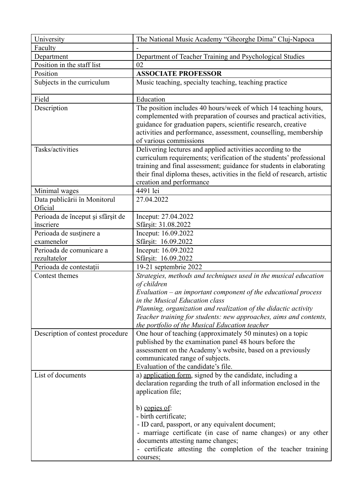| University                                | The National Music Academy "Gheorghe Dima" Cluj-Napoca                                                                                                                                                                                                                                                             |
|-------------------------------------------|--------------------------------------------------------------------------------------------------------------------------------------------------------------------------------------------------------------------------------------------------------------------------------------------------------------------|
| Faculty                                   |                                                                                                                                                                                                                                                                                                                    |
| Department                                | Department of Teacher Training and Psychological Studies                                                                                                                                                                                                                                                           |
| Position in the staff list                | 02                                                                                                                                                                                                                                                                                                                 |
| Position                                  | <b>ASSOCIATE PROFESSOR</b>                                                                                                                                                                                                                                                                                         |
| Subjects in the curriculum                | Music teaching, specialty teaching, teaching practice                                                                                                                                                                                                                                                              |
| Field                                     | Education                                                                                                                                                                                                                                                                                                          |
| Description                               | The position includes 40 hours/week of which 14 teaching hours,<br>complemented with preparation of courses and practical activities,<br>guidance for graduation papers, scientific research, creative<br>activities and performance, assessment, counselling, membership<br>of various commissions                |
| Tasks/activities                          | Delivering lectures and applied activities according to the<br>curriculum requirements; verification of the students' professional<br>training and final assessment; guidance for students in elaborating<br>their final diploma theses, activities in the field of research, artistic<br>creation and performance |
| Minimal wages                             | 4491 lei                                                                                                                                                                                                                                                                                                           |
| Data publicării în Monitorul<br>Oficial   | 27.04.2022                                                                                                                                                                                                                                                                                                         |
| Perioada de început și sfârșit de         | Inceput: 27.04.2022                                                                                                                                                                                                                                                                                                |
| înscriere                                 | Sfârșit: 31.08.2022                                                                                                                                                                                                                                                                                                |
| Perioada de susținere a                   | Inceput: 16.09.2022                                                                                                                                                                                                                                                                                                |
| examenelor                                | Sfârșit: 16.09.2022                                                                                                                                                                                                                                                                                                |
| Perioada de comunicare a                  | Inceput: 16.09.2022                                                                                                                                                                                                                                                                                                |
| rezultatelor                              | Sfârșit: 16.09.2022<br>19-21 septembrie 2022                                                                                                                                                                                                                                                                       |
| Perioada de contestații<br>Contest themes | Strategies, methods and techniques used in the musical education                                                                                                                                                                                                                                                   |
|                                           | of children                                                                                                                                                                                                                                                                                                        |
|                                           | Evaluation – an important component of the educational process                                                                                                                                                                                                                                                     |
|                                           | in the Musical Education class                                                                                                                                                                                                                                                                                     |
|                                           | Planning, organization and realization of the didactic activity                                                                                                                                                                                                                                                    |
|                                           | Teacher training for students: new approaches, aims and contents,                                                                                                                                                                                                                                                  |
|                                           | the portfolio of the Musical Education teacher                                                                                                                                                                                                                                                                     |
| Description of contest procedure          | One hour of teaching (approximately 50 minutes) on a topic<br>published by the examination panel 48 hours before the<br>assessment on the Academy's website, based on a previously<br>communicated range of subjects.<br>Evaluation of the candidate's file.                                                       |
| List of documents                         | a) application form, signed by the candidate, including a                                                                                                                                                                                                                                                          |
|                                           | declaration regarding the truth of all information enclosed in the<br>application file;                                                                                                                                                                                                                            |
|                                           | b) copies of:                                                                                                                                                                                                                                                                                                      |
|                                           | - birth certificate;                                                                                                                                                                                                                                                                                               |
|                                           | - ID card, passport, or any equivalent document;                                                                                                                                                                                                                                                                   |
|                                           | - marriage certificate (in case of name changes) or any other                                                                                                                                                                                                                                                      |
|                                           | documents attesting name changes;                                                                                                                                                                                                                                                                                  |
|                                           | - certificate attesting the completion of the teacher training                                                                                                                                                                                                                                                     |
|                                           | courses;                                                                                                                                                                                                                                                                                                           |